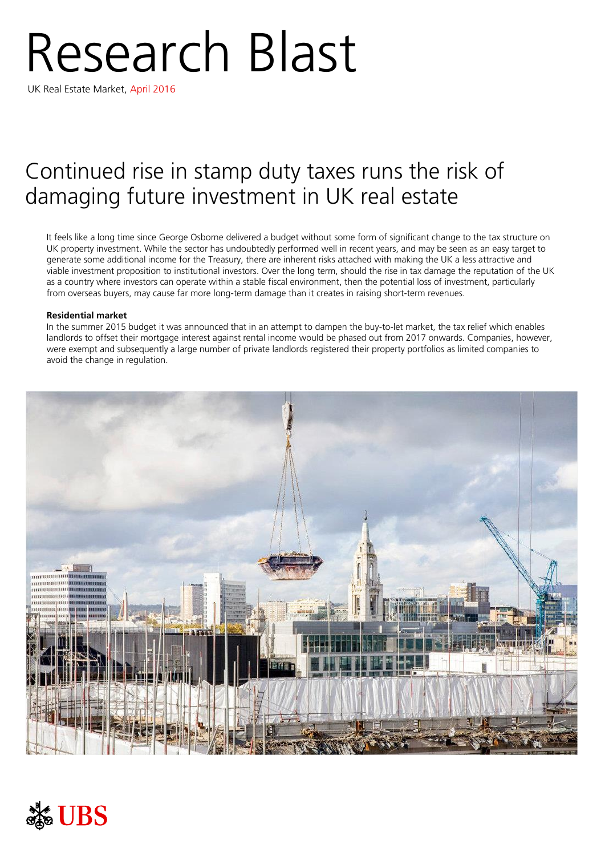# Research Blast

UK Real Estate Market, April 2016

# Continued rise in stamp duty taxes runs the risk of damaging future investment in UK real estate

It feels like a long time since George Osborne delivered a budget without some form of significant change to the tax structure on UK property investment. While the sector has undoubtedly performed well in recent years, and may be seen as an easy target to generate some additional income for the Treasury, there are inherent risks attached with making the UK a less attractive and viable investment proposition to institutional investors. Over the long term, should the rise in tax damage the reputation of the UK as a country where investors can operate within a stable fiscal environment, then the potential loss of investment, particularly from overseas buyers, may cause far more long-term damage than it creates in raising short-term revenues.

## **Residential market**

In the summer 2015 budget it was announced that in an attempt to dampen the buy-to-let market, the tax relief which enables landlords to offset their mortgage interest against rental income would be phased out from 2017 onwards. Companies, however, were exempt and subsequently a large number of private landlords registered their property portfolios as limited companies to avoid the change in regulation.



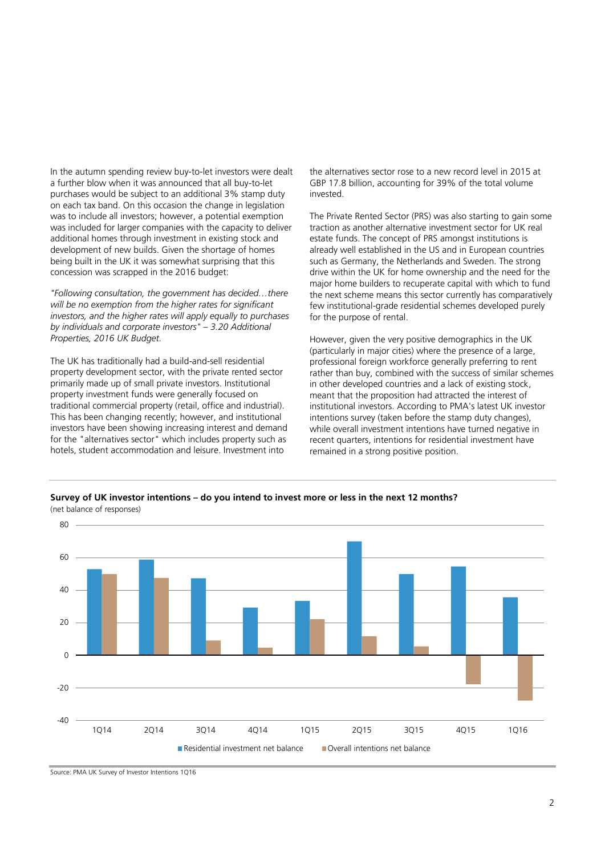In the autumn spending review buy-to-let investors were dealt a further blow when it was announced that all buy-to-let purchases would be subject to an additional 3% stamp duty on each tax band. On this occasion the change in legislation was to include all investors; however, a potential exemption was included for larger companies with the capacity to deliver additional homes through investment in existing stock and development of new builds. Given the shortage of homes being built in the UK it was somewhat surprising that this concession was scrapped in the 2016 budget:

*"Following consultation, the government has decided…there will be no exemption from the higher rates for significant investors, and the higher rates will apply equally to purchases by individuals and corporate investors" – 3.20 Additional Properties, 2016 UK Budget.*

The UK has traditionally had a build-and-sell residential property development sector, with the private rented sector primarily made up of small private investors. Institutional property investment funds were generally focused on traditional commercial property (retail, office and industrial). This has been changing recently; however, and institutional investors have been showing increasing interest and demand for the "alternatives sector" which includes property such as hotels, student accommodation and leisure. Investment into

the alternatives sector rose to a new record level in 2015 at GBP 17.8 billion, accounting for 39% of the total volume invested.

The Private Rented Sector (PRS) was also starting to gain some traction as another alternative investment sector for UK real estate funds. The concept of PRS amongst institutions is already well established in the US and in European countries such as Germany, the Netherlands and Sweden. The strong drive within the UK for home ownership and the need for the major home builders to recuperate capital with which to fund the next scheme means this sector currently has comparatively few institutional-grade residential schemes developed purely for the purpose of rental.

However, given the very positive demographics in the UK (particularly in major cities) where the presence of a large, professional foreign workforce generally preferring to rent rather than buy, combined with the success of similar schemes in other developed countries and a lack of existing stock, meant that the proposition had attracted the interest of institutional investors. According to PMA's latest UK investor intentions survey (taken before the stamp duty changes), while overall investment intentions have turned negative in recent quarters, intentions for residential investment have remained in a strong positive position.

**Survey of UK investor intentions – do you intend to invest more or less in the next 12 months?**



Source: PMA UK Survey of Investor Intentions 1Q16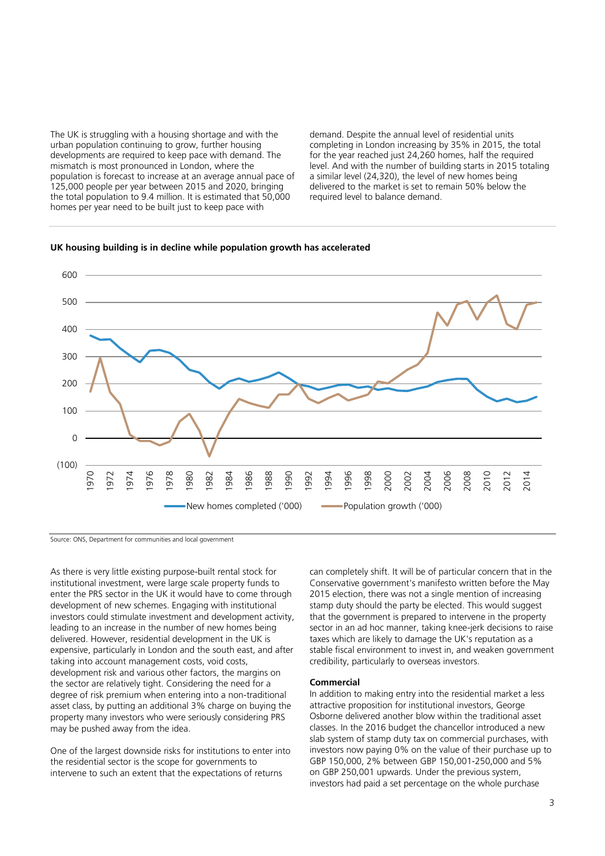The UK is struggling with a housing shortage and with the urban population continuing to grow, further housing developments are required to keep pace with demand. The mismatch is most pronounced in London, where the population is forecast to increase at an average annual pace of 125,000 people per year between 2015 and 2020, bringing the total population to 9.4 million. It is estimated that 50,000 homes per year need to be built just to keep pace with

demand. Despite the annual level of residential units completing in London increasing by 35% in 2015, the total for the year reached just 24,260 homes, half the required level. And with the number of building starts in 2015 totaling a similar level (24,320), the level of new homes being delivered to the market is set to remain 50% below the required level to balance demand.



New homes completed ('000) - Population growth ('000)

### **UK housing building is in decline while population growth has accelerated**

Source: ONS, Department for communities and local government

As there is very little existing purpose-built rental stock for institutional investment, were large scale property funds to enter the PRS sector in the UK it would have to come through development of new schemes. Engaging with institutional investors could stimulate investment and development activity, leading to an increase in the number of new homes being delivered. However, residential development in the UK is expensive, particularly in London and the south east, and after taking into account management costs, void costs, development risk and various other factors, the margins on the sector are relatively tight. Considering the need for a degree of risk premium when entering into a non-traditional asset class, by putting an additional 3% charge on buying the property many investors who were seriously considering PRS may be pushed away from the idea.

One of the largest downside risks for institutions to enter into the residential sector is the scope for governments to intervene to such an extent that the expectations of returns

can completely shift. It will be of particular concern that in the Conservative government's manifesto written before the May 2015 election, there was not a single mention of increasing stamp duty should the party be elected. This would suggest that the government is prepared to intervene in the property sector in an ad hoc manner, taking knee-jerk decisions to raise taxes which are likely to damage the UK's reputation as a stable fiscal environment to invest in, and weaken government credibility, particularly to overseas investors.

#### **Commercial**

In addition to making entry into the residential market a less attractive proposition for institutional investors, George Osborne delivered another blow within the traditional asset classes. In the 2016 budget the chancellor introduced a new slab system of stamp duty tax on commercial purchases, with investors now paying 0% on the value of their purchase up to GBP 150,000, 2% between GBP 150,001-250,000 and 5% on GBP 250,001 upwards. Under the previous system, investors had paid a set percentage on the whole purchase

2014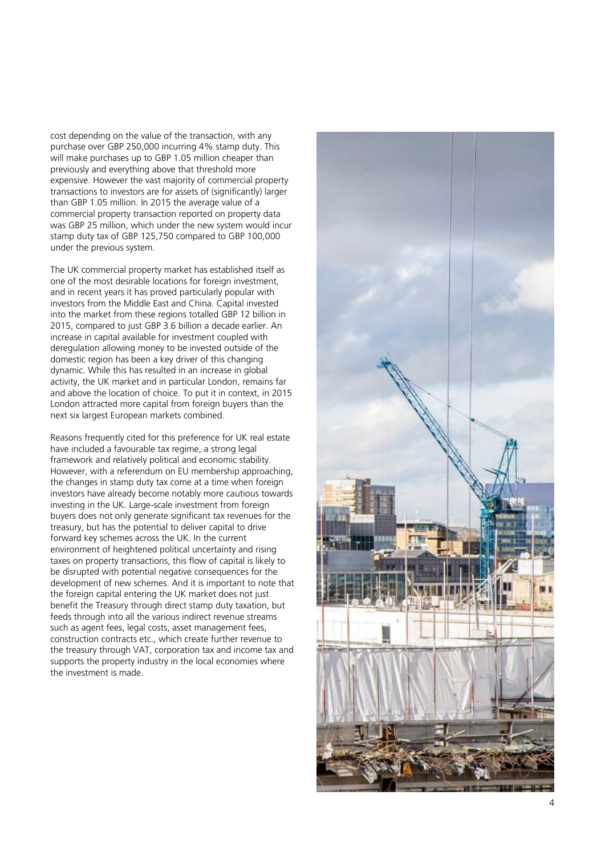cost depending on the value of the transaction, with any purchase over GBP 250,000 incurring 4% stamp duty. This will make purchases up to GBP 1.05 million cheaper than previously and everything above that threshold more expensive. However the vast majority of commercial property transactions to investors are for assets of (significantly) larger than GBP 1.05 million. In 2015 the average value of a commercial property transaction reported on property data was GBP 25 million , which under the new system would incur stamp duty tax of GBP 125,750 compared to GBP 100,000 under the previous system.

The UK commercial property market has established itself as one of the most desirable locations for foreign investment, and in recent years it has proved particularly popular with investors from the Middle East and China. Capital invested into the market from these regions totalled GBP 12 billion in 2015, compared to just GBP 3.6 billion a decade earlier. An increase in capital available for investment coupled with deregulation allowing money to be invested outside of the domestic region has been a key driver of this changing dynamic. While this has resulted in an increase in global activity, the UK market and in particular London, remains far and above the location of choice. To put it in context, in 2015 London attracted more capital from foreign buyers than the next six largest European markets combined.

Reasons frequently cited for this preference for UK real estate have included a favo urable tax regime, a strong legal framework and relatively political and economic stability. However, with a referendum on EU membership approaching, the changes in stamp duty tax come at a time when foreign investors have already become notably more cautious towards investing in the UK. Large -scale investment from foreign buyers does not only generate significant tax revenues for the treasury, but has the potential to deliver capital to drive forward key schemes across the UK. In the current environment of heightened political uncertainty and rising taxes on property transactions, this flow of capital is likely to be disrupted with potential negative consequences for the development of new schemes. And it is important to note that the foreign capital entering the UK market does not just benefit the Treasury through direct stamp duty taxation, but feeds through into all the various indirect revenue streams such as agent fees, legal costs, asset management fees, construction contracts etc., which create further revenue to the treasury through VAT, corporation tax and income tax and supports the property industry in the local economies where the investment is made.

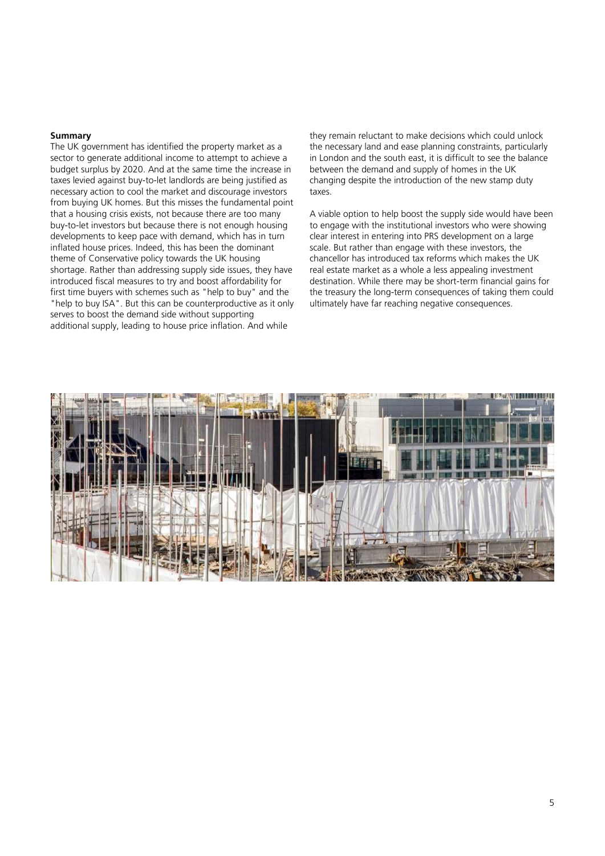#### **Summary**

The UK government has identified the property market as a sector to generate additional income to attempt to achieve a budget surplus by 2020. And at the same time the increase in taxes levied against buy-to-let landlords are being justified as necessary action to cool the market and discourage investors from buying UK homes. But this misses the fundamental point that a housing crisis exists, not because there are too many buy-to-let investors but because there is not enough housing developments to keep pace with demand, which has in turn inflated house prices. Indeed, this has been the dominant theme of Conservative policy towards the UK housing shortage. Rather than addressing supply side issues, they have introduced fiscal measures to try and boost affordability for first time buyers with schemes such as "help to buy" and the "help to buy ISA". But this can be counterproductive as it only serves to boost the demand side without supporting additional supply, leading to house price inflation. And while

they remain reluctant to make decisions which could unlock the necessary land and ease planning constraints, particularly in London and the south east, it is difficult to see the balance between the demand and supply of homes in the UK changing despite the introduction of the new stamp duty taxes.

A viable option to help boost the supply side would have been to engage with the institutional investors who were showing clear interest in entering into PRS development on a large scale. But rather than engage with these investors, the chancellor has introduced tax reforms which makes the UK real estate market as a whole a less appealing investment destination. While there may be short-term financial gains for the treasury the long-term consequences of taking them could ultimately have far reaching negative consequences.